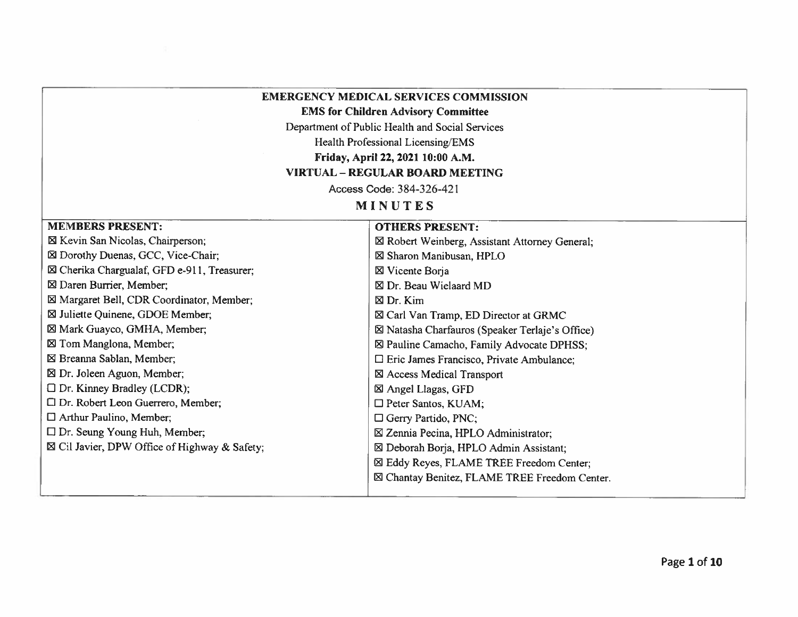## **EMERGENCY MEDICAL SERVICES COMMISSION**

**EMS for Children Advisory Committee** 

Department of Public Health and Social Services

Health Professional Licensing/EMS

Friday, April 22, 2021 10:00 A.M.

## **VIRTUAL - REGULAR BOARD MEETING**

Access Code: 384-326-421

MINUTES

**OTHERS PRESENT:** 

## **MEMBERS PRESENT:**

⊠ Kevin San Nicolas, Chairperson; ⊠ Dorothy Duenas, GCC, Vice-Chair; ⊠ Cherika Chargualaf, GFD e-911, Treasurer; ⊠ Daren Burrier, Member; ⊠ Margaret Bell, CDR Coordinator, Member; ⊠ Juliette Quinene, GDOE Member; ⊠ Mark Guayco, GMHA, Member; ⊠ Tom Manglona, Member; ⊠ Breanna Sablan, Member; ⊠ Dr. Joleen Aguon, Member;  $\Box$  Dr. Kinney Bradley (LCDR); □ Dr. Robert Leon Guerrero, Member; □ Arthur Paulino, Member;  $\Box$  Dr. Seung Young Huh, Member;  $\boxtimes$  Cil Javier, DPW Office of Highway & Safety;

⊠ Robert Weinberg, Assistant Attorney General; ⊠ Sharon Manibusan, HPLO ⊠ Vicente Borja ⊠ Dr. Beau Wielaard MD  $\boxtimes$  Dr. Kim ⊠ Carl Van Tramp, ED Director at GRMC ⊠ Natasha Charfauros (Speaker Terlaje's Office) ⊠ Pauline Camacho, Family Advocate DPHSS;  $\Box$  Eric James Francisco, Private Ambulance; ⊠ Access Medical Transport ⊠ Angel Llagas, GFD □ Peter Santos, KUAM; □ Gerry Partido, PNC; ⊠ Zennia Pecina, HPLO Administrator; ⊠ Deborah Borja, HPLO Admin Assistant; ⊠ Eddy Reyes, FLAME TREE Freedom Center; ⊠ Chantay Benitez, FLAME TREE Freedom Center.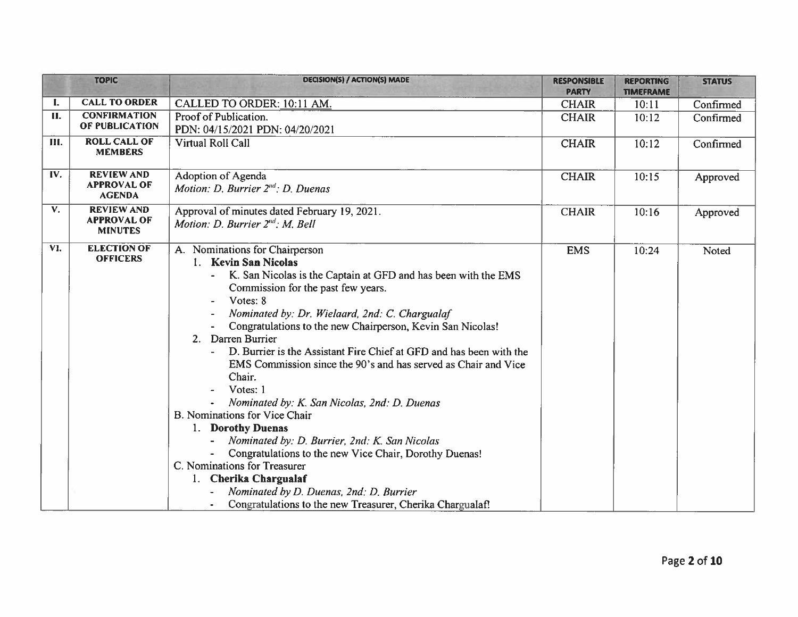|     | <b>TOPIC</b>                                              | DECISION(S) / ACTION(S) MADE                                                                                                                                                                                                                                                                                                                                                                                                                                                                                                                                                                                                                                                                                                                                                                                                                                        | <b>RESPONSIBLE</b><br><b>PARTY</b> | <b>REPORTING</b><br><b>TIMEFRAME</b> | <b>STATUS</b> |
|-----|-----------------------------------------------------------|---------------------------------------------------------------------------------------------------------------------------------------------------------------------------------------------------------------------------------------------------------------------------------------------------------------------------------------------------------------------------------------------------------------------------------------------------------------------------------------------------------------------------------------------------------------------------------------------------------------------------------------------------------------------------------------------------------------------------------------------------------------------------------------------------------------------------------------------------------------------|------------------------------------|--------------------------------------|---------------|
| I.  | <b>CALL TO ORDER</b>                                      | CALLED TO ORDER: 10:11 AM.                                                                                                                                                                                                                                                                                                                                                                                                                                                                                                                                                                                                                                                                                                                                                                                                                                          | <b>CHAIR</b>                       | 10:11                                | Confirmed     |
| II. | <b>CONFIRMATION</b><br>OF PUBLICATION                     | Proof of Publication.<br>PDN: 04/15/2021 PDN: 04/20/2021                                                                                                                                                                                                                                                                                                                                                                                                                                                                                                                                                                                                                                                                                                                                                                                                            | <b>CHAIR</b>                       | 10:12                                | Confirmed     |
| Ш.  | <b>ROLL CALL OF</b><br><b>MEMBERS</b>                     | Virtual Roll Call                                                                                                                                                                                                                                                                                                                                                                                                                                                                                                                                                                                                                                                                                                                                                                                                                                                   | <b>CHAIR</b>                       | 10:12                                | Confirmed     |
| IV. | <b>REVIEW AND</b><br><b>APPROVAL OF</b><br><b>AGENDA</b>  | Adoption of Agenda<br>Motion: D. Burrier 2 <sup>nd</sup> : D. Duenas                                                                                                                                                                                                                                                                                                                                                                                                                                                                                                                                                                                                                                                                                                                                                                                                | <b>CHAIR</b>                       | 10:15                                | Approved      |
| V.  | <b>REVIEW AND</b><br><b>APPROVAL OF</b><br><b>MINUTES</b> | Approval of minutes dated February 19, 2021.<br>Motion: D. Burrier $2^{nd}$ : M. Bell                                                                                                                                                                                                                                                                                                                                                                                                                                                                                                                                                                                                                                                                                                                                                                               | <b>CHAIR</b>                       | 10:16                                | Approved      |
| VI. | <b>ELECTION OF</b><br><b>OFFICERS</b>                     | A. Nominations for Chairperson<br>1. Kevin San Nicolas<br>K. San Nicolas is the Captain at GFD and has been with the EMS<br>Commission for the past few years.<br>Votes: 8<br>Nominated by: Dr. Wielaard, 2nd: C. Chargualaf<br>Congratulations to the new Chairperson, Kevin San Nicolas!<br>Darren Burrier<br>2.<br>D. Burrier is the Assistant Fire Chief at GFD and has been with the<br>EMS Commission since the 90's and has served as Chair and Vice<br>Chair.<br>Votes: 1<br>Nominated by: K. San Nicolas, 2nd: D. Duenas<br>B. Nominations for Vice Chair<br>1. Dorothy Duenas<br>Nominated by: D. Burrier, 2nd: K. San Nicolas<br>Congratulations to the new Vice Chair, Dorothy Duenas!<br>C. Nominations for Treasurer<br>1. Cherika Chargualaf<br>Nominated by D. Duenas, 2nd: D. Burrier<br>Congratulations to the new Treasurer, Cherika Chargualaf! | <b>EMS</b>                         | 10:24                                | Noted         |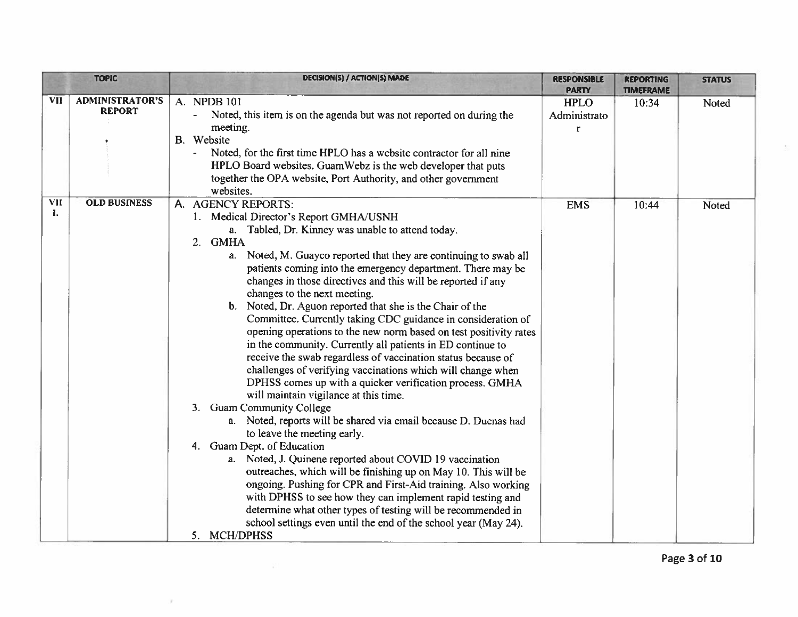|                  | <b>TOPIC</b>                            | <b>DECISION(S) / ACTION(S) MADE</b>                                                                                                                                                                                                                                                                                                                                                                                                                                                                                                                                                                                                                                                                                                                                                                                                                                                                                                                                                                                                                                                                                                                                                                                                                                                                                                                                                                                                                          | <b>RESPONSIBLE</b><br><b>PARTY</b>          | <b>REPORTING</b><br><b>TIMEFRAME</b> | <b>STATUS</b> |
|------------------|-----------------------------------------|--------------------------------------------------------------------------------------------------------------------------------------------------------------------------------------------------------------------------------------------------------------------------------------------------------------------------------------------------------------------------------------------------------------------------------------------------------------------------------------------------------------------------------------------------------------------------------------------------------------------------------------------------------------------------------------------------------------------------------------------------------------------------------------------------------------------------------------------------------------------------------------------------------------------------------------------------------------------------------------------------------------------------------------------------------------------------------------------------------------------------------------------------------------------------------------------------------------------------------------------------------------------------------------------------------------------------------------------------------------------------------------------------------------------------------------------------------------|---------------------------------------------|--------------------------------------|---------------|
| <b>VII</b>       | <b>ADMINISTRATOR'S</b><br><b>REPORT</b> | A. NPDB 101<br>Noted, this item is on the agenda but was not reported on during the<br>meeting.<br>B. Website<br>Noted, for the first time HPLO has a website contractor for all nine<br>HPLO Board websites. GuamWebz is the web developer that puts<br>together the OPA website, Port Authority, and other government<br>websites.                                                                                                                                                                                                                                                                                                                                                                                                                                                                                                                                                                                                                                                                                                                                                                                                                                                                                                                                                                                                                                                                                                                         | <b>HPLO</b><br>Administrato<br>$\mathbf{r}$ | 10:34                                | Noted         |
| <b>VII</b><br>L. | <b>OLD BUSINESS</b>                     | A. AGENCY REPORTS:<br>1. Medical Director's Report GMHA/USNH<br>a. Tabled, Dr. Kinney was unable to attend today.<br>2. GMHA<br>a. Noted, M. Guayco reported that they are continuing to swab all<br>patients coming into the emergency department. There may be<br>changes in those directives and this will be reported if any<br>changes to the next meeting.<br>b. Noted, Dr. Aguon reported that she is the Chair of the<br>Committee. Currently taking CDC guidance in consideration of<br>opening operations to the new norm based on test positivity rates<br>in the community. Currently all patients in ED continue to<br>receive the swab regardless of vaccination status because of<br>challenges of verifying vaccinations which will change when<br>DPHSS comes up with a quicker verification process. GMHA<br>will maintain vigilance at this time.<br><b>Guam Community College</b><br>3.<br>a. Noted, reports will be shared via email because D. Duenas had<br>to leave the meeting early.<br>4. Guam Dept. of Education<br>a. Noted, J. Quinene reported about COVID 19 vaccination<br>outreaches, which will be finishing up on May 10. This will be<br>ongoing. Pushing for CPR and First-Aid training. Also working<br>with DPHSS to see how they can implement rapid testing and<br>determine what other types of testing will be recommended in<br>school settings even until the end of the school year (May 24).<br>5. MCH/DPHSS | <b>EMS</b>                                  | 10:44                                | Noted         |

 $\sim 10$ 

 $\mathcal{R}$ 

 $\geq$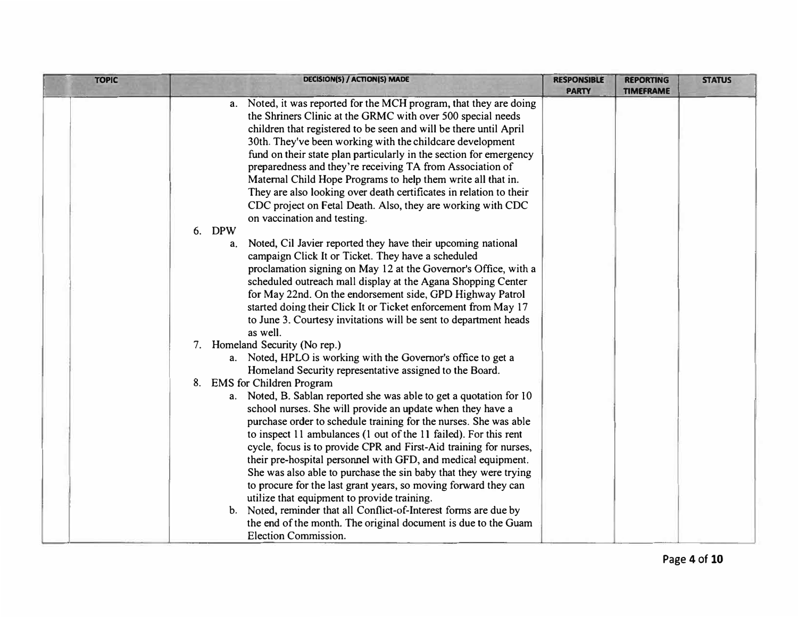| <b>TOPIC</b> | DECISION(S) / ACTION(S) MADE                                                                                                                                                                                                                                                                                                                                                                                                                                                                                                                                                                                                                                                                                                                                                                                                                                                                                                                                                                                                                       | <b>RESPONSIBLE</b><br><b>PARTY</b> | <b>REPORTING</b><br><b>TIMEFRAME</b> | <b>STATUS</b> |
|--------------|----------------------------------------------------------------------------------------------------------------------------------------------------------------------------------------------------------------------------------------------------------------------------------------------------------------------------------------------------------------------------------------------------------------------------------------------------------------------------------------------------------------------------------------------------------------------------------------------------------------------------------------------------------------------------------------------------------------------------------------------------------------------------------------------------------------------------------------------------------------------------------------------------------------------------------------------------------------------------------------------------------------------------------------------------|------------------------------------|--------------------------------------|---------------|
|              | a. Noted, it was reported for the MCH program, that they are doing<br>the Shriners Clinic at the GRMC with over 500 special needs<br>children that registered to be seen and will be there until April<br>30th. They've been working with the childcare development<br>fund on their state plan particularly in the section for emergency<br>preparedness and they're receiving TA from Association of<br>Maternal Child Hope Programs to help them write all that in.<br>They are also looking over death certificates in relation to their<br>CDC project on Fetal Death. Also, they are working with CDC<br>on vaccination and testing.<br>6. DPW<br>Noted, Cil Javier reported they have their upcoming national<br>a.<br>campaign Click It or Ticket. They have a scheduled<br>proclamation signing on May 12 at the Governor's Office, with a<br>scheduled outreach mall display at the Agana Shopping Center<br>for May 22nd. On the endorsement side, GPD Highway Patrol<br>started doing their Click It or Ticket enforcement from May 17 |                                    |                                      |               |
|              | to June 3. Courtesy invitations will be sent to department heads<br>as well.<br>7. Homeland Security (No rep.)<br>a. Noted, HPLO is working with the Governor's office to get a<br>Homeland Security representative assigned to the Board.                                                                                                                                                                                                                                                                                                                                                                                                                                                                                                                                                                                                                                                                                                                                                                                                         |                                    |                                      |               |
|              | 8. EMS for Children Program<br>a. Noted, B. Sablan reported she was able to get a quotation for 10<br>school nurses. She will provide an update when they have a<br>purchase order to schedule training for the nurses. She was able<br>to inspect 11 ambulances (1 out of the 11 failed). For this rent<br>cycle, focus is to provide CPR and First-Aid training for nurses,<br>their pre-hospital personnel with GFD, and medical equipment.<br>She was also able to purchase the sin baby that they were trying<br>to procure for the last grant years, so moving forward they can<br>utilize that equipment to provide training.<br>b. Noted, reminder that all Conflict-of-Interest forms are due by<br>the end of the month. The original document is due to the Guam<br><b>Election Commission.</b>                                                                                                                                                                                                                                         |                                    |                                      |               |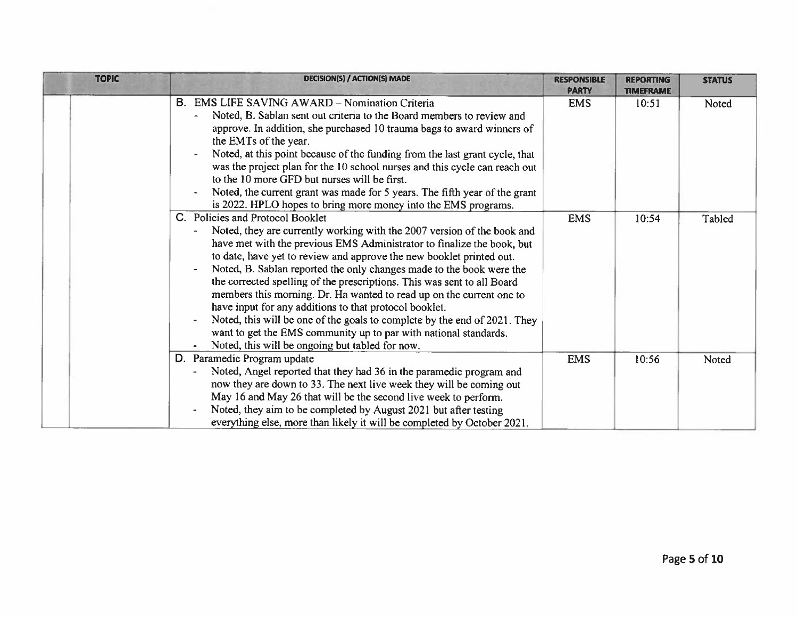| <b>TOPIC</b> | <b>DECISION(S) / ACTION(S) MADE</b>                                                                                                                                                                                                                                                                                                                                                                                                                                                                                                                                                                                                                                                                                                                    | <b>RESPONSIBLE</b><br><b>PARTY</b> | <b>REPORTING</b><br><b>TIMEFRAME</b> | <b>STATUS</b> |
|--------------|--------------------------------------------------------------------------------------------------------------------------------------------------------------------------------------------------------------------------------------------------------------------------------------------------------------------------------------------------------------------------------------------------------------------------------------------------------------------------------------------------------------------------------------------------------------------------------------------------------------------------------------------------------------------------------------------------------------------------------------------------------|------------------------------------|--------------------------------------|---------------|
|              | В.<br><b>EMS LIFE SAVING AWARD – Nomination Criteria</b><br>Noted, B. Sablan sent out criteria to the Board members to review and<br>approve. In addition, she purchased 10 trauma bags to award winners of<br>the EMTs of the year.<br>Noted, at this point because of the funding from the last grant cycle, that<br>was the project plan for the 10 school nurses and this cycle can reach out<br>to the 10 more GFD but nurses will be first.<br>Noted, the current grant was made for 5 years. The fifth year of the grant<br>is 2022. HPLO hopes to bring more money into the EMS programs.                                                                                                                                                      | <b>EMS</b>                         | 10:51                                | Noted         |
|              | C. Policies and Protocol Booklet<br>Noted, they are currently working with the 2007 version of the book and<br>have met with the previous EMS Administrator to finalize the book, but<br>to date, have yet to review and approve the new booklet printed out.<br>Noted, B. Sablan reported the only changes made to the book were the<br>the corrected spelling of the prescriptions. This was sent to all Board<br>members this morning. Dr. Ha wanted to read up on the current one to<br>have input for any additions to that protocol booklet.<br>Noted, this will be one of the goals to complete by the end of 2021. They<br>want to get the EMS community up to par with national standards.<br>Noted, this will be ongoing but tabled for now. | <b>EMS</b>                         | 10:54                                | Tabled        |
|              | D. Paramedic Program update<br>Noted, Angel reported that they had 36 in the paramedic program and<br>now they are down to 33. The next live week they will be coming out<br>May 16 and May 26 that will be the second live week to perform.<br>Noted, they aim to be completed by August 2021 but after testing<br>everything else, more than likely it will be completed by October 2021.                                                                                                                                                                                                                                                                                                                                                            | <b>EMS</b>                         | 10:56                                | Noted         |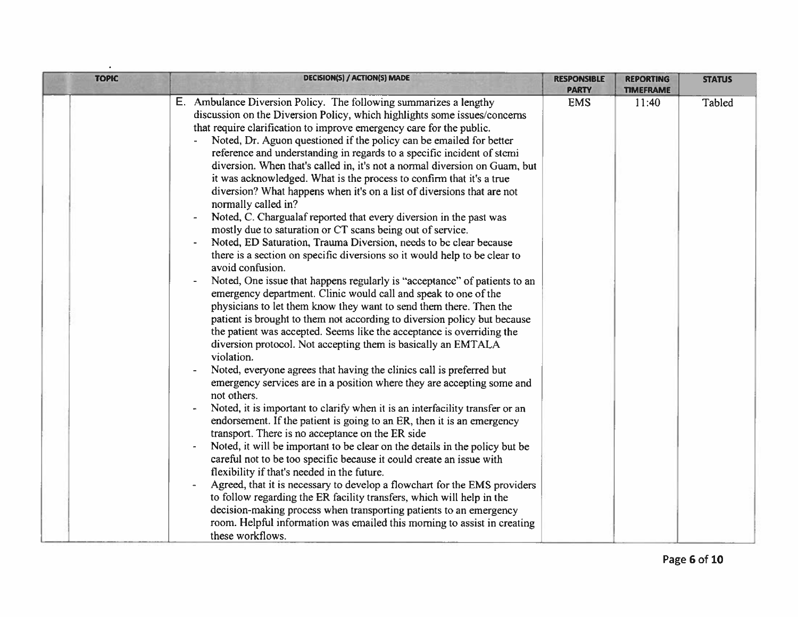| <b>TOPIC</b> | <b>DECISION(S) / ACTION(S) MADE</b>                                                                                                                                                                                                                                                                                                                                                                                                                                                                                                                                                                                                                                                                                                                                                                                                                                                                                                                                                                                                                                                                                                                                                                                                                                                                                                                                                                                                                                                                                                                                                                                                                                                                                                                                                                                                                                                                                                                                                                                                                                                                                                                                                                                                                                                                                 | <b>RESPONSIBLE</b><br><b>PARTY</b> | <b>REPORTING</b><br><b>TIMEFRAME</b> | <b>STATUS</b> |
|--------------|---------------------------------------------------------------------------------------------------------------------------------------------------------------------------------------------------------------------------------------------------------------------------------------------------------------------------------------------------------------------------------------------------------------------------------------------------------------------------------------------------------------------------------------------------------------------------------------------------------------------------------------------------------------------------------------------------------------------------------------------------------------------------------------------------------------------------------------------------------------------------------------------------------------------------------------------------------------------------------------------------------------------------------------------------------------------------------------------------------------------------------------------------------------------------------------------------------------------------------------------------------------------------------------------------------------------------------------------------------------------------------------------------------------------------------------------------------------------------------------------------------------------------------------------------------------------------------------------------------------------------------------------------------------------------------------------------------------------------------------------------------------------------------------------------------------------------------------------------------------------------------------------------------------------------------------------------------------------------------------------------------------------------------------------------------------------------------------------------------------------------------------------------------------------------------------------------------------------------------------------------------------------------------------------------------------------|------------------------------------|--------------------------------------|---------------|
|              | E. Ambulance Diversion Policy. The following summarizes a lengthy<br>discussion on the Diversion Policy, which highlights some issues/concerns<br>that require clarification to improve emergency care for the public.<br>Noted, Dr. Aguon questioned if the policy can be emailed for better<br>reference and understanding in regards to a specific incident of stemi<br>diversion. When that's called in, it's not a normal diversion on Guam, but<br>it was acknowledged. What is the process to confirm that it's a true<br>diversion? What happens when it's on a list of diversions that are not<br>normally called in?<br>Noted, C. Chargualaf reported that every diversion in the past was<br>mostly due to saturation or CT scans being out of service.<br>Noted, ED Saturation, Trauma Diversion, needs to be clear because<br>there is a section on specific diversions so it would help to be clear to<br>avoid confusion.<br>Noted, One issue that happens regularly is "acceptance" of patients to an<br>emergency department. Clinic would call and speak to one of the<br>physicians to let them know they want to send them there. Then the<br>patient is brought to them not according to diversion policy but because<br>the patient was accepted. Seems like the acceptance is overriding the<br>diversion protocol. Not accepting them is basically an EMTALA<br>violation.<br>Noted, everyone agrees that having the clinics call is preferred but<br>emergency services are in a position where they are accepting some and<br>not others.<br>Noted, it is important to clarify when it is an interfacility transfer or an<br>endorsement. If the patient is going to an ER, then it is an emergency<br>transport. There is no acceptance on the ER side<br>Noted, it will be important to be clear on the details in the policy but be<br>careful not to be too specific because it could create an issue with<br>flexibility if that's needed in the future.<br>Agreed, that it is necessary to develop a flowchart for the EMS providers<br>to follow regarding the ER facility transfers, which will help in the<br>decision-making process when transporting patients to an emergency<br>room. Helpful information was emailed this morning to assist in creating<br>these workflows. | <b>EMS</b>                         | 11:40                                | Tabled        |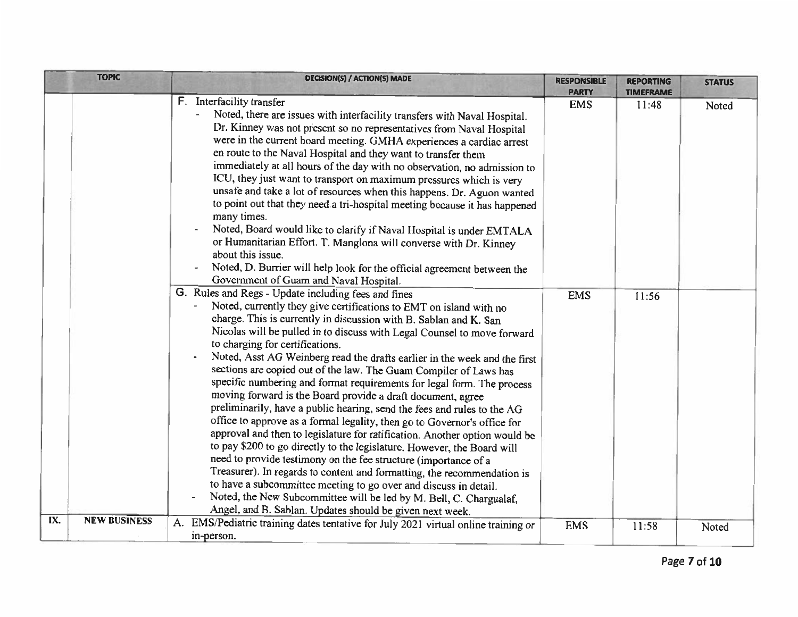|     | <b>TOPIC</b>        | <b>DECISION(S) / ACTION(S) MADE</b>                                                                                                                                                                                                                                                                                                                                                                                                                                                                                                                                                                                                                                                                                                                                                                                                                                                                                                                                                                                                                                                                                                                                                                                                                                         | <b>RESPONSIBLE</b>         | <b>REPORTING</b>          | <b>STATUS</b> |
|-----|---------------------|-----------------------------------------------------------------------------------------------------------------------------------------------------------------------------------------------------------------------------------------------------------------------------------------------------------------------------------------------------------------------------------------------------------------------------------------------------------------------------------------------------------------------------------------------------------------------------------------------------------------------------------------------------------------------------------------------------------------------------------------------------------------------------------------------------------------------------------------------------------------------------------------------------------------------------------------------------------------------------------------------------------------------------------------------------------------------------------------------------------------------------------------------------------------------------------------------------------------------------------------------------------------------------|----------------------------|---------------------------|---------------|
|     |                     | F. Interfacility transfer<br>Noted, there are issues with interfacility transfers with Naval Hospital.<br>Dr. Kinney was not present so no representatives from Naval Hospital<br>were in the current board meeting. GMHA experiences a cardiac arrest<br>en route to the Naval Hospital and they want to transfer them<br>immediately at all hours of the day with no observation, no admission to<br>ICU, they just want to transport on maximum pressures which is very<br>unsafe and take a lot of resources when this happens. Dr. Aguon wanted<br>to point out that they need a tri-hospital meeting because it has happened<br>many times.<br>Noted, Board would like to clarify if Naval Hospital is under EMTALA<br>or Humanitarian Effort. T. Manglona will converse with Dr. Kinney<br>about this issue.<br>Noted, D. Burrier will help look for the official agreement between the<br>Government of Guam and Naval Hospital.                                                                                                                                                                                                                                                                                                                                    | <b>PARTY</b><br><b>EMS</b> | <b>TIMEFRAME</b><br>11:48 | Noted         |
|     |                     | G. Rules and Regs - Update including fees and fines<br>Noted, currently they give certifications to EMT on island with no<br>charge. This is currently in discussion with B. Sablan and K. San<br>Nicolas will be pulled in to discuss with Legal Counsel to move forward<br>to charging for certifications.<br>Noted, Asst AG Weinberg read the drafts earlier in the week and the first<br>sections are copied out of the law. The Guam Compiler of Laws has<br>specific numbering and format requirements for legal form. The process<br>moving forward is the Board provide a draft document, agree<br>preliminarily, have a public hearing, send the fees and rules to the AG<br>office to approve as a formal legality, then go to Governor's office for<br>approval and then to legislature for ratification. Another option would be<br>to pay \$200 to go directly to the legislature. However, the Board will<br>need to provide testimony on the fee structure (importance of a<br>Treasurer). In regards to content and formatting, the recommendation is<br>to have a subcommittee meeting to go over and discuss in detail.<br>Noted, the New Subcommittee will be led by M. Bell, C. Chargualaf,<br>Angel, and B. Sablan. Updates should be given next week. | <b>EMS</b>                 | 11:56                     |               |
| IX. | <b>NEW BUSINESS</b> | EMS/Pediatric training dates tentative for July 2021 virtual online training or<br>A.<br>in-person.                                                                                                                                                                                                                                                                                                                                                                                                                                                                                                                                                                                                                                                                                                                                                                                                                                                                                                                                                                                                                                                                                                                                                                         | <b>EMS</b>                 | 11:58                     | Noted         |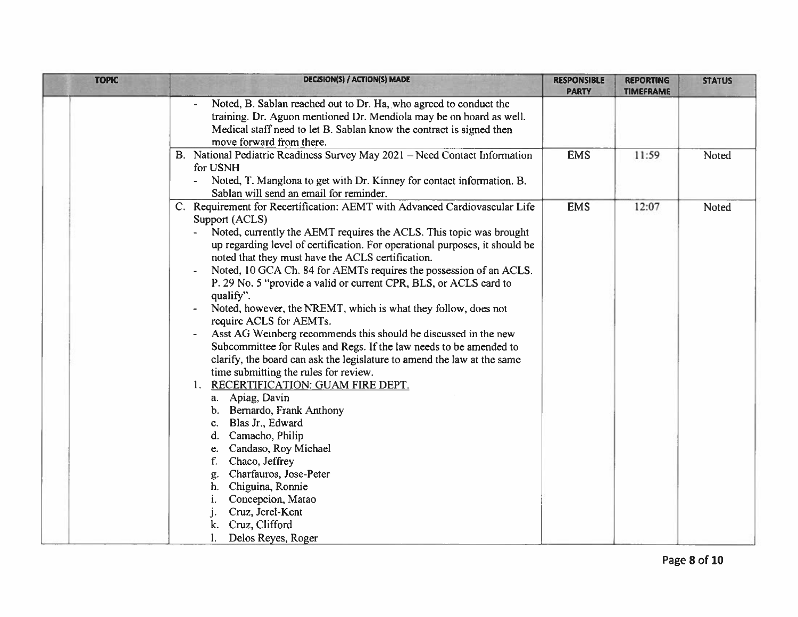| <b>TOPIC</b> | <b>DECISION(S) / ACTION(S) MADE</b>                                                                                                                                                                                                                                                                                                                                                                                                                                                                                                                                                                                                                                                                                                                                                                                                                                                                                                                                                                                                                                                                                                                                        | <b>RESPONSIBLE</b><br><b>PARTY</b> | <b>REPORTING</b><br><b>TIMEFRAME</b> | <b>STATUS</b> |
|--------------|----------------------------------------------------------------------------------------------------------------------------------------------------------------------------------------------------------------------------------------------------------------------------------------------------------------------------------------------------------------------------------------------------------------------------------------------------------------------------------------------------------------------------------------------------------------------------------------------------------------------------------------------------------------------------------------------------------------------------------------------------------------------------------------------------------------------------------------------------------------------------------------------------------------------------------------------------------------------------------------------------------------------------------------------------------------------------------------------------------------------------------------------------------------------------|------------------------------------|--------------------------------------|---------------|
|              | Noted, B. Sablan reached out to Dr. Ha, who agreed to conduct the<br>training. Dr. Aguon mentioned Dr. Mendiola may be on board as well.<br>Medical staff need to let B. Sablan know the contract is signed then<br>move forward from there.                                                                                                                                                                                                                                                                                                                                                                                                                                                                                                                                                                                                                                                                                                                                                                                                                                                                                                                               |                                    |                                      |               |
|              | B. National Pediatric Readiness Survey May 2021 - Need Contact Information<br>for USNH<br>Noted, T. Manglona to get with Dr. Kinney for contact information. B.<br>Sablan will send an email for reminder.                                                                                                                                                                                                                                                                                                                                                                                                                                                                                                                                                                                                                                                                                                                                                                                                                                                                                                                                                                 | <b>EMS</b>                         | 11:59                                | Noted         |
|              | C. Requirement for Recertification: AEMT with Advanced Cardiovascular Life<br>Support (ACLS)<br>Noted, currently the AEMT requires the ACLS. This topic was brought<br>up regarding level of certification. For operational purposes, it should be<br>noted that they must have the ACLS certification.<br>Noted, 10 GCA Ch. 84 for AEMTs requires the possession of an ACLS.<br>P. 29 No. 5 "provide a valid or current CPR, BLS, or ACLS card to<br>qualify".<br>Noted, however, the NREMT, which is what they follow, does not<br>require ACLS for AEMTs.<br>Asst AG Weinberg recommends this should be discussed in the new<br>Subcommittee for Rules and Regs. If the law needs to be amended to<br>clarify, the board can ask the legislature to amend the law at the same<br>time submitting the rules for review.<br>RECERTIFICATION: GUAM FIRE DEPT.<br>1.<br>Apiag, Davin<br>а. –<br>Bernardo, Frank Anthony<br>b.<br>Blas Jr., Edward<br>c.<br>Camacho, Philip<br>d.<br>Candaso, Roy Michael<br>e.<br>Chaco, Jeffrey<br>Charfauros, Jose-Peter<br>g.<br>Chiguina, Ronnie<br>h.<br>Concepcion, Matao<br>Cruz, Jerel-Kent<br>Cruz, Clifford<br>Delos Reyes, Roger | <b>EMS</b>                         | 12:07                                | Noted         |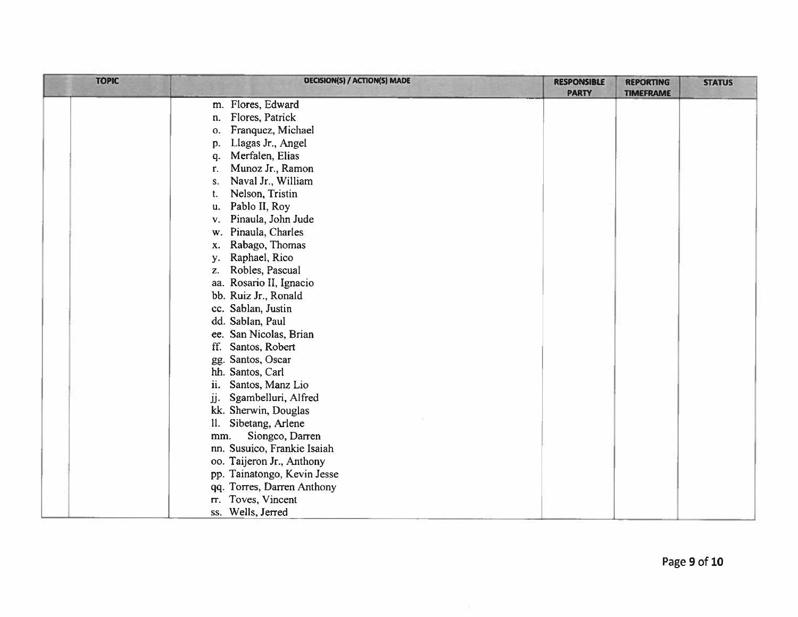| <b>TOPIC</b> | <b>DECISION(S) / ACTION(S) MADE</b> | <b>RESPONSIBLE</b> | <b>REPORTING</b> | <b>STATUS</b> |
|--------------|-------------------------------------|--------------------|------------------|---------------|
|              | m. Flores, Edward                   | <b>PARTY</b>       | <b>TIMEFRAME</b> |               |
|              | Flores, Patrick<br>n.               |                    |                  |               |
|              | Franquez, Michael<br>о.             |                    |                  |               |
|              | Llagas Jr., Angel<br>p.             |                    |                  |               |
|              | Merfalen, Elias<br>q.               |                    |                  |               |
|              | Munoz Jr., Ramon<br>r.              |                    |                  |               |
|              | Naval Jr., William<br>S.            |                    |                  |               |
|              | Nelson, Tristin<br>t.               |                    |                  |               |
|              | Pablo II, Roy<br>u.                 |                    |                  |               |
|              | Pinaula, John Jude<br>v.            |                    |                  |               |
|              | Pinaula, Charles<br>w.              |                    |                  |               |
|              | Rabago, Thomas<br>X.                |                    |                  |               |
|              | Raphael, Rico<br>у.                 |                    |                  |               |
|              | Robles, Pascual<br>Z.               |                    |                  |               |
|              | aa. Rosario II, Ignacio             |                    |                  |               |
|              | bb. Ruiz Jr., Ronald                |                    |                  |               |
|              | cc. Sablan, Justin                  |                    |                  |               |
|              | dd. Sablan, Paul                    |                    |                  |               |
|              | ee. San Nicolas, Brian              |                    |                  |               |
|              | ff.<br>Santos, Robert               |                    |                  |               |
|              | gg. Santos, Oscar                   |                    |                  |               |
|              | hh. Santos, Carl                    |                    |                  |               |
|              | ii.<br>Santos, Manz Lio             |                    |                  |               |
|              | Sgambelluri, Alfred<br>jj.          |                    |                  |               |
|              | kk. Sherwin, Douglas                |                    |                  |               |
|              | Sibetang, Arlene<br>H.              |                    |                  |               |
|              | Siongco, Darren<br>mm.              |                    |                  |               |
|              | nn. Susuico, Frankie Isaiah         |                    |                  |               |
|              | oo. Taijeron Jr., Anthony           |                    |                  |               |
|              | pp. Tainatongo, Kevin Jesse         |                    |                  |               |
|              | qq. Torres, Darren Anthony          |                    |                  |               |
|              | Toves, Vincent<br>m.                |                    |                  |               |
|              | ss. Wells, Jerred                   |                    |                  |               |